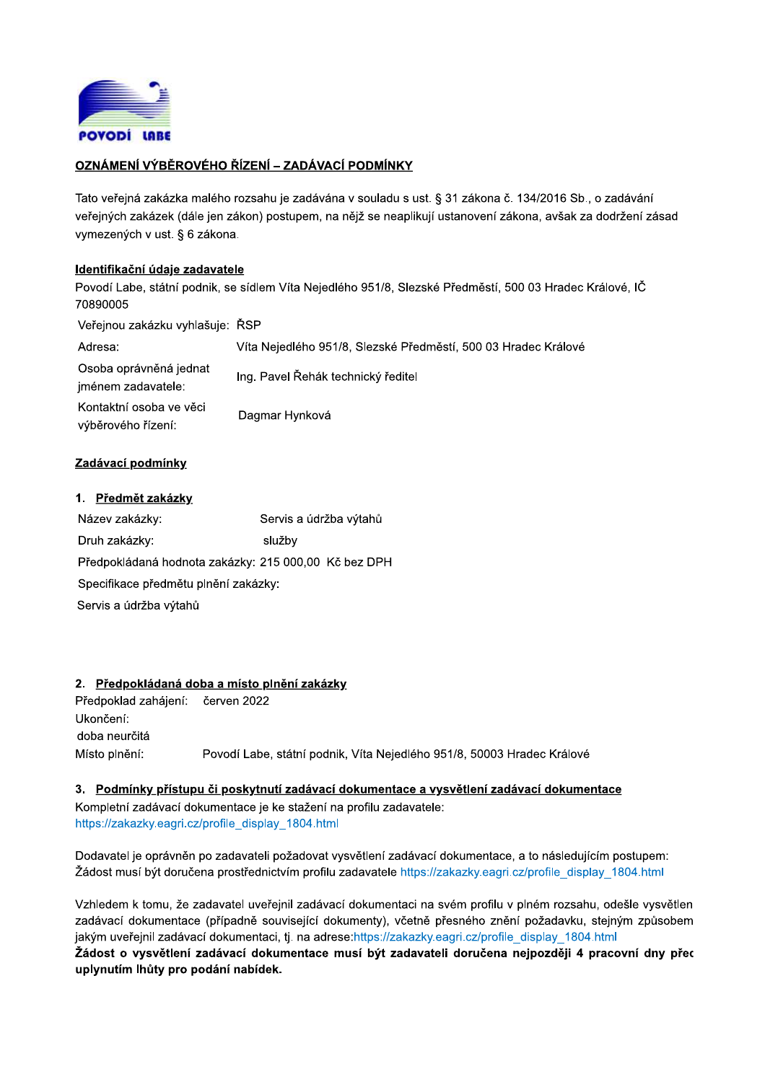

# OZNÁMENÍ VÝBĚROVÉHO ŘÍZENÍ – ZADÁVACÍ PODMÍNKY

Tato veřejná zakázka malého rozsahu je zadávána v souladu s ust. § 31 zákona č. 134/2016 Sb., o zadávání veřejných zakázek (dále jen zákon) postupem, na nějž se neaplikují ustanovení zákona, avšak za dodržení zásad vymezených v ust. § 6 zákona.

### Identifikační údaje zadavatele

Povodí Labe, státní podnik, se sídlem Víta Nejedlého 951/8, Slezské Předměstí, 500 03 Hradec Králové, IČ 70890005

Veřejnou zakázku vyhlašuje: ŘSP

| Adresa:                                       | Víta Nejedlého 951/8, Slezské Předměstí, 500 03 Hradec Králové |
|-----------------------------------------------|----------------------------------------------------------------|
| Osoba oprávněná jednat<br>jménem zadavatele:  | Ing. Pavel Řehák technický ředitel                             |
| Kontaktní osoba ve věci<br>výběrového řízení: | Dagmar Hynková                                                 |

### Zadávací podmínky

| 1. Předmět zakázky                                   |                        |  |
|------------------------------------------------------|------------------------|--|
| Název zakázky:                                       | Servis a údržba výtahů |  |
| Druh zakázky:                                        | služby                 |  |
| Předpokládaná hodnota zakázky: 215 000,00 Kč bez DPH |                        |  |
| Specifikace předmětu plnění zakázky:                 |                        |  |
| Servis a údržba výtahů                               |                        |  |

### 2. Předpokládaná doba a místo plnění zakázky

Předpoklad zahájení: červen 2022 Ukončení: doba neurčitá Místo plnění: Povodí Labe, státní podnik, Víta Nejedlého 951/8, 50003 Hradec Králové

3. Podmínky přístupu či poskytnutí zadávací dokumentace a vysvětlení zadávací dokumentace Kompletní zadávací dokumentace je ke stažení na profilu zadavatele: https://zakazky.eagri.cz/profile\_display\_1804.html

Dodavatel je oprávněn po zadavateli požadovat vysvětlení zadávací dokumentace, a to následujícím postupem: Žádost musí být doručena prostřednictvím profilu zadavatele https://zakazky.eagri.cz/profile display 1804.html

Vzhledem k tomu, že zadavatel uveřejnil zadávací dokumentaci na svém profilu v plném rozsahu, odešle vysvětlen zadávací dokumentace (případně související dokumenty), včetně přesného znění požadavku, stejným způsobem jakým uveřejnil zadávací dokumentaci, tj. na adrese:https://zakazky.eagri.cz/profile display 1804.html Žádost o vysvětlení zadávací dokumentace musí být zadavateli doručena nejpozději 4 pracovní dny přec uplynutím lhůty pro podání nabídek.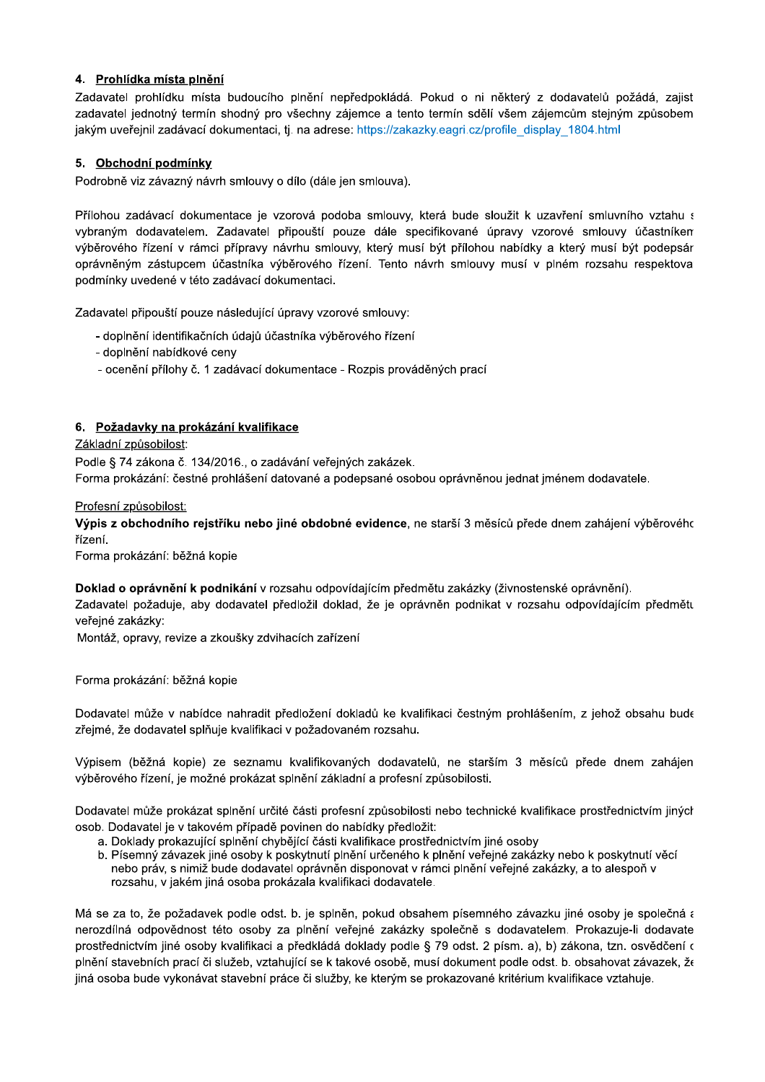# 4. Prohlídka místa plnění

Zadavatel prohlídku místa budoucího plnění nepředpokládá. Pokud o ni některý z dodavatelů požádá, zajist zadavatel jednotný termín shodný pro všechny zájemce a tento termín sdělí všem zájemcům stejným způsobem jakým uveřejnil zadávací dokumentaci, tj. na adrese: https://zakazky.eagri.cz/profile display 1804.html

## 5. Obchodní podmínky

Podrobně viz závazný návrh smlouvy o dílo (dále jen smlouva).

Přílohou zadávací dokumentace je vzorová podoba smlouvy, která bude sloužit k uzavření smluvního vztahu s vybraným dodavatelem. Zadavatel připouští pouze dále specifikované úpravy vzorové smlouvy účastníkem výběrového řízení v rámci přípravy návrhu smlouvy, který musí být přílohou nabídky a který musí být podepsár oprávněným zástupcem účastníka výběrového řízení. Tento návrh smlouvy musí v plném rozsahu respektova podmínky uvedené v této zadávací dokumentaci.

Zadavatel připouští pouze následující úpravy vzorové smlouvy:

- doplnění identifikačních údajů účastníka výběrového řízení
- doplnění nabídkové ceny
- ocenění přílohy č. 1 zadávací dokumentace Rozpis prováděných prací

## 6. Požadavky na prokázání kvalifikace

Základní způsobilost:

Podle § 74 zákona č. 134/2016., o zadávání veřejných zakázek. Forma prokázání: čestné prohlášení datované a podepsané osobou oprávněnou jednat jménem dodavatele.

Profesní způsobilost:

Výpis z obchodního reistříku nebo jiné obdobné evidence, ne starší 3 měsíců přede dnem zahájení výběrového řízení.

Forma prokázání: běžná kopie

Doklad o oprávnění k podnikání v rozsahu odpovídajícím předmětu zakázky (živnostenské oprávnění).

Zadavatel požaduje, aby dodavatel předložil doklad, že je oprávněn podnikat v rozsahu odpovídajícím předmětu veřejné zakázky:

Montáž, opravy, revize a zkoušky zdvihacích zařízení

Forma prokázání: běžná kopie

Dodavatel může v nabídce nahradit předložení dokladů ke kvalifikaci čestným prohlášením, z jehož obsahu bude zřejmé, že dodavatel splňuje kvalifikaci v požadovaném rozsahu.

Výpisem (běžná kopie) ze seznamu kvalifikovaných dodavatelů, ne starším 3 měsíců přede dnem zahájen výběrového řízení, je možné prokázat splnění základní a profesní způsobilosti.

Dodavatel může prokázat splnění určité části profesní způsobilosti nebo technické kvalifikace prostřednictvím jiných osob. Dodavatel je v takovém případě povinen do nabídky předložit:

- a. Doklady prokazující splnění chybějící části kvalifikace prostřednictvím jiné osoby
- b. Písemný závazek jiné osoby k poskytnutí plnění určeného k plnění veřejné zakázky nebo k poskytnutí věcí nebo práv, s nimiž bude dodavatel oprávněn disponovat v rámci plnění veřejné zakázky, a to alespoň v rozsahu, v jakém jiná osoba prokázala kvalifikaci dodavatele.

Má se za to, že požadavek podle odst. b. je splněn, pokud obsahem písemného závazku jiné osoby je společná a nerozdílná odpovědnost této osoby za plnění veřejné zakázky společně s dodavatelem. Prokazuje-li dodavate prostřednictvím jiné osoby kvalifikaci a předkládá doklady podle § 79 odst. 2 písm. a), b) zákona, tzn. osvědčení c plnění stavebních prací či služeb, vztahující se k takové osobě, musí dokument podle odst. b. obsahovat závazek, že jiná osoba bude vykonávat stavební práce či služby, ke kterým se prokazované kritérium kvalifikace vztahuje.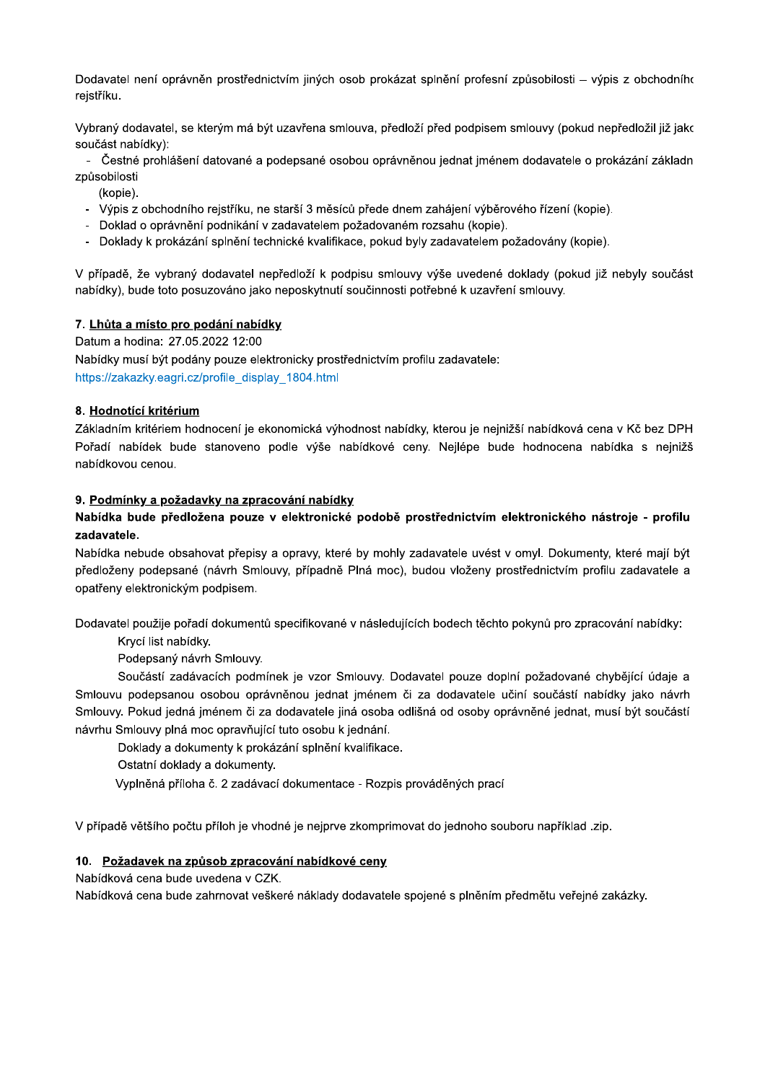Dodavatel není oprávněn prostřednictvím jiných osob prokázat splnění profesní způsobilosti – výpis z obchodního reistříku.

Vybraný dodavatel, se kterým má být uzavřena smlouva, předloží před podpisem smlouvy (pokud nepředložil již jakc součást nabídky):

- Čestné prohlášení datované a podepsané osobou oprávněnou jednat jménem dodavatele o prokázání základn způsobilosti

- (kopie).
- Výpis z obchodního reistříku, ne starší 3 měsíců přede dnem zahájení výběrového řízení (kopie).
- Doklad o oprávnění podnikání v zadavatelem požadovaném rozsahu (kopie).
- Doklady k prokázání splnění technické kvalifikace, pokud byly zadavatelem požadovány (kopie).

V případě, že vybraný dodavatel nepředloží k podpisu smlouvy výše uvedené doklady (pokud již nebyly součást nabídky), bude toto posuzováno jako neposkytnutí součinnosti potřebné k uzavření smlouvy.

## 7. Lhůta a místo pro podání nabídky

Datum a hodina: 27.05.2022 12:00 Nabídky musí být podány pouze elektronicky prostřednictvím profilu zadavatele: https://zakazky.eagri.cz/profile\_display\_1804.html

## 8. Hodnotící kritérium

Základním kritériem hodnocení je ekonomická výhodnost nabídky, kterou je nejnižší nabídková cena v Kč bez DPH Pořadí nabídek bude stanoveno podle výše nabídkové ceny. Nejlépe bude hodnocena nabídka s nejnižš nabídkovou cenou.

## 9. Podmínky a požadavky na zpracování nabídky

## Nabídka bude předložena pouze v elektronické podobě prostřednictvím elektronického nástroje - profilu zadavatele.

Nabídka nebude obsahovat přepisy a opravy, které by mohly zadavatele uvést v omyl. Dokumenty, které mají být předloženy podepsané (návrh Smlouvy, případně Plná moc), budou vloženy prostřednictvím profilu zadavatele a opatřeny elektronickým podpisem.

Dodavatel použije pořadí dokumentů specifikované v následujících bodech těchto pokynů pro zpracování nabídky:

Krycí list nabídky.

Podepsaný návrh Smlouvy.

Součástí zadávacích podmínek je vzor Smlouvy. Dodavatel pouze doplní požadované chybějící údaje a Smlouvu podepsanou osobou oprávněnou jednat jménem či za dodavatele učiní součástí nabídky jako návrh Smlouvy. Pokud jedná jménem či za dodavatele jiná osoba odlišná od osoby oprávněné jednat, musí být součástí návrhu Smlouvy plná moc opravňující tuto osobu k jednání.

Doklady a dokumenty k prokázání splnění kvalifikace.

Ostatní doklady a dokumenty.

Vyplněná příloha č. 2 zadávací dokumentace - Rozpis prováděných prací

V případě většího počtu příloh je vhodné je nejprve zkomprimovat do jednoho souboru například .zip.

### 10. Požadavek na způsob zpracování nabídkové ceny

Nabídková cena bude uvedena v CZK.

Nabídková cena bude zahrnovat veškeré náklady dodavatele spojené s plněním předmětu veřejné zakázky.